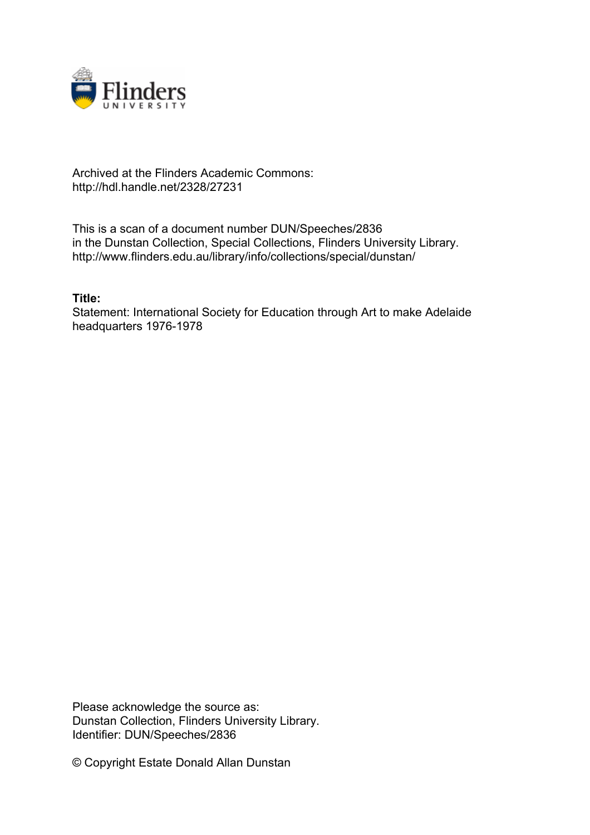

## Archived at the Flinders Academic Commons: http://hdl.handle.net/2328/27231

This is a scan of a document number DUN/Speeches/2836 in the Dunstan Collection, Special Collections, Flinders University Library. http://www.flinders.edu.au/library/info/collections/special/dunstan/

## **Title:**

Statement: International Society for Education through Art to make Adelaide headquarters 1976-1978

Please acknowledge the source as: Dunstan Collection, Flinders University Library. Identifier: DUN/Speeches/2836

© Copyright Estate Donald Allan Dunstan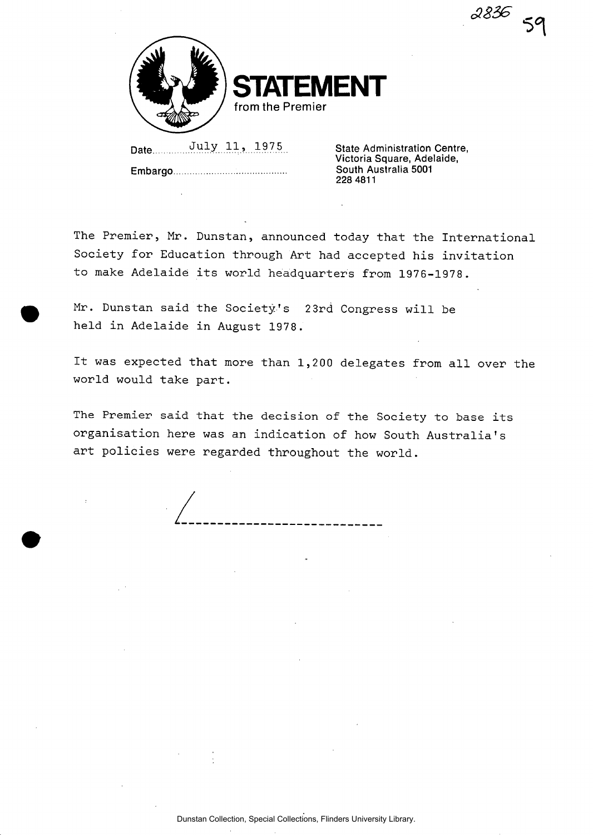**ENT from the Premier** 

Date *Duly 11***, 1975 State Administration Centre, Embargo** 

**Victoria Square, Adelaide, South Australia 5001 228 4811** 

*SBZS* **5n** 

**The Premier, Mr. Dunstan, announced today that the International Society for Education through Art had accepted his invitation to make Adelaide its world headquarters from 1976-1978.** 

**Mr. Dunstan said the Society's 2 3rd Congress will be held in Adelaide in August 1978.** 

**It was expected that more than 1,2 00 delegates from all over the world would take part.** 

**The Premier said that the decision of the Society to base its organisation here was an indication of how South Australia's art policies were regarded throughout the world.**